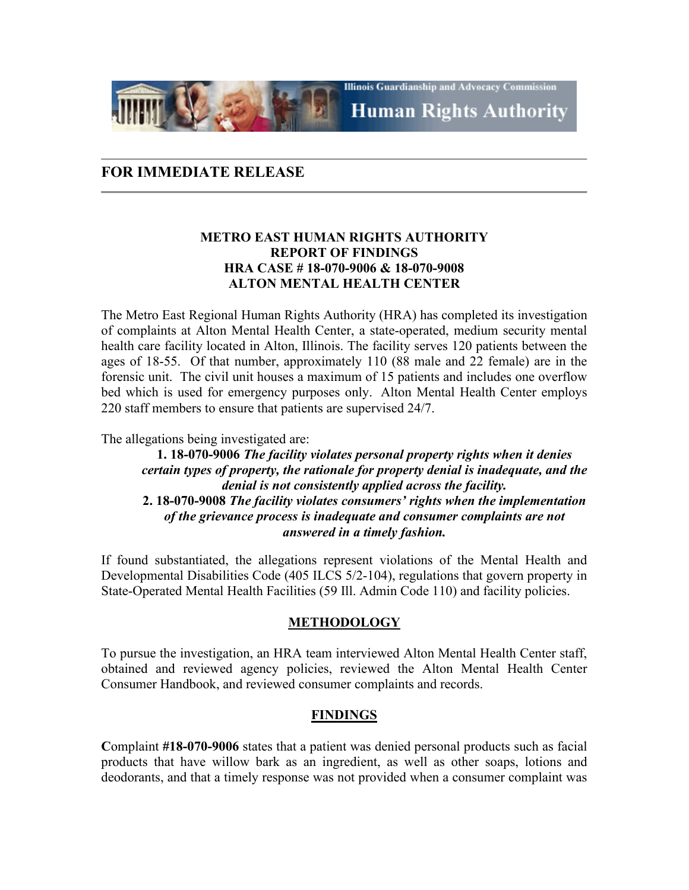**Illinois Guardianship and Advocacy Commission Human Rights Authority** 

# **FOR IMMEDIATE RELEASE**

#### **METRO EAST HUMAN RIGHTS AUTHORITY REPORT OF FINDINGS HRA CASE # 18-070-9006 & 18-070-9008 ALTON MENTAL HEALTH CENTER**

The Metro East Regional Human Rights Authority (HRA) has completed its investigation of complaints at Alton Mental Health Center, a state-operated, medium security mental health care facility located in Alton, Illinois. The facility serves 120 patients between the ages of 18-55. Of that number, approximately 110 (88 male and 22 female) are in the forensic unit. The civil unit houses a maximum of 15 patients and includes one overflow bed which is used for emergency purposes only. Alton Mental Health Center employs 220 staff members to ensure that patients are supervised 24/7.

The allegations being investigated are:

#### **1. 18-070-9006** *The facility violates personal property rights when it denies certain types of property, the rationale for property denial is inadequate, and the denial is not consistently applied across the facility.* **2. 18-070-9008** *The facility violates consumers' rights when the implementation of the grievance process is inadequate and consumer complaints are not answered in a timely fashion.*

If found substantiated, the allegations represent violations of the Mental Health and Developmental Disabilities Code (405 ILCS 5/2-104), regulations that govern property in State-Operated Mental Health Facilities (59 Ill. Admin Code 110) and facility policies.

#### **METHODOLOGY**

To pursue the investigation, an HRA team interviewed Alton Mental Health Center staff, obtained and reviewed agency policies, reviewed the Alton Mental Health Center Consumer Handbook, and reviewed consumer complaints and records.

## **FINDINGS**

**C**omplaint **#18-070-9006** states that a patient was denied personal products such as facial products that have willow bark as an ingredient, as well as other soaps, lotions and deodorants, and that a timely response was not provided when a consumer complaint was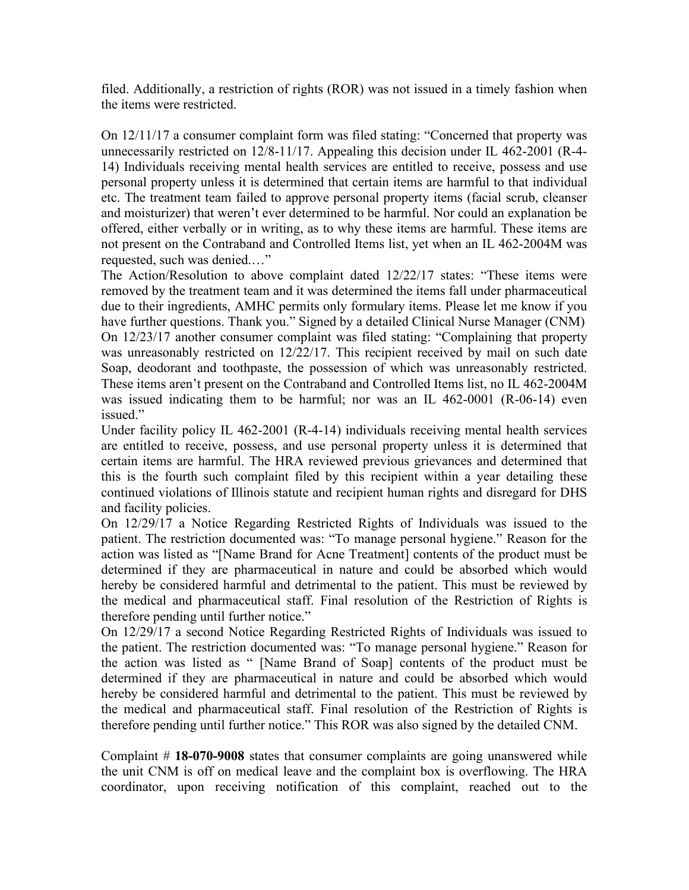filed. Additionally, a restriction of rights (ROR) was not issued in a timely fashion when the items were restricted.

On 12/11/17 a consumer complaint form was filed stating: "Concerned that property was unnecessarily restricted on 12/8-11/17. Appealing this decision under IL 462-2001 (R-4- 14) Individuals receiving mental health services are entitled to receive, possess and use personal property unless it is determined that certain items are harmful to that individual etc. The treatment team failed to approve personal property items (facial scrub, cleanser and moisturizer) that weren't ever determined to be harmful. Nor could an explanation be offered, either verbally or in writing, as to why these items are harmful. These items are not present on the Contraband and Controlled Items list, yet when an IL 462-2004M was requested, such was denied.…"

The Action/Resolution to above complaint dated 12/22/17 states: "These items were removed by the treatment team and it was determined the items fall under pharmaceutical due to their ingredients, AMHC permits only formulary items. Please let me know if you have further questions. Thank you." Signed by a detailed Clinical Nurse Manager (CNM) On 12/23/17 another consumer complaint was filed stating: "Complaining that property was unreasonably restricted on 12/22/17. This recipient received by mail on such date Soap, deodorant and toothpaste, the possession of which was unreasonably restricted. These items aren't present on the Contraband and Controlled Items list, no IL 462-2004M was issued indicating them to be harmful; nor was an IL 462-0001 (R-06-14) even issued."

Under facility policy IL 462-2001 (R-4-14) individuals receiving mental health services are entitled to receive, possess, and use personal property unless it is determined that certain items are harmful. The HRA reviewed previous grievances and determined that this is the fourth such complaint filed by this recipient within a year detailing these continued violations of Illinois statute and recipient human rights and disregard for DHS and facility policies.

On 12/29/17 a Notice Regarding Restricted Rights of Individuals was issued to the patient. The restriction documented was: "To manage personal hygiene." Reason for the action was listed as "[Name Brand for Acne Treatment] contents of the product must be determined if they are pharmaceutical in nature and could be absorbed which would hereby be considered harmful and detrimental to the patient. This must be reviewed by the medical and pharmaceutical staff. Final resolution of the Restriction of Rights is therefore pending until further notice."

On 12/29/17 a second Notice Regarding Restricted Rights of Individuals was issued to the patient. The restriction documented was: "To manage personal hygiene." Reason for the action was listed as " [Name Brand of Soap] contents of the product must be determined if they are pharmaceutical in nature and could be absorbed which would hereby be considered harmful and detrimental to the patient. This must be reviewed by the medical and pharmaceutical staff. Final resolution of the Restriction of Rights is therefore pending until further notice." This ROR was also signed by the detailed CNM.

Complaint # **18-070-9008** states that consumer complaints are going unanswered while the unit CNM is off on medical leave and the complaint box is overflowing. The HRA coordinator, upon receiving notification of this complaint, reached out to the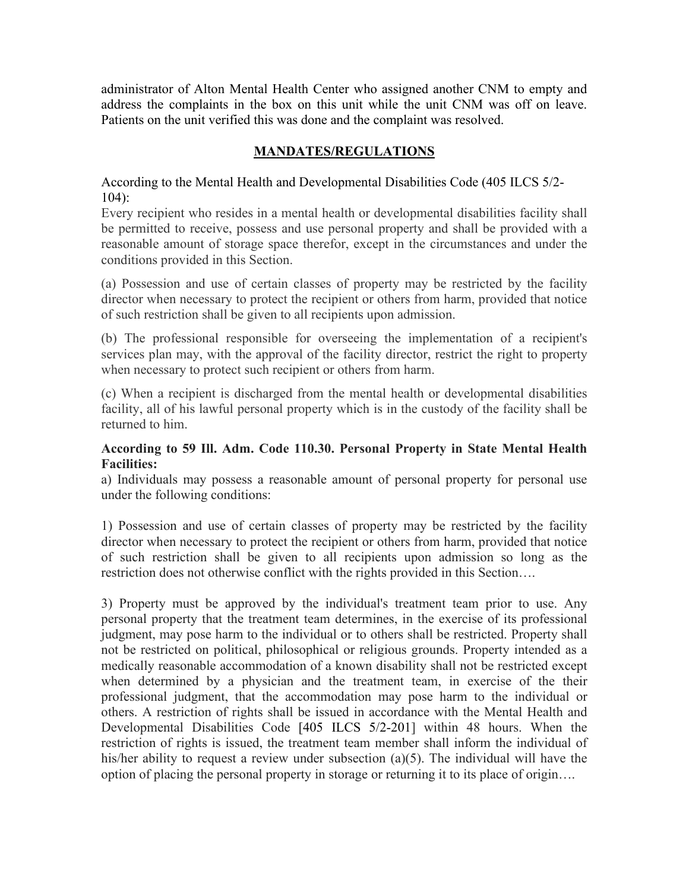administrator of Alton Mental Health Center who assigned another CNM to empty and address the complaints in the box on this unit while the unit CNM was off on leave. Patients on the unit verified this was done and the complaint was resolved.

# **MANDATES/REGULATIONS**

According to the Mental Health and Developmental Disabilities Code (405 ILCS 5/2- 104):

Every recipient who resides in a mental health or developmental disabilities facility shall be permitted to receive, possess and use personal property and shall be provided with a reasonable amount of storage space therefor, except in the circumstances and under the conditions provided in this Section.

(a) Possession and use of certain classes of property may be restricted by the facility director when necessary to protect the recipient or others from harm, provided that notice of such restriction shall be given to all recipients upon admission.

(b) The professional responsible for overseeing the implementation of a recipient's services plan may, with the approval of the facility director, restrict the right to property when necessary to protect such recipient or others from harm.

(c) When a recipient is discharged from the mental health or developmental disabilities facility, all of his lawful personal property which is in the custody of the facility shall be returned to him.

## **According to 59 Ill. Adm. Code 110.30. Personal Property in State Mental Health Facilities:**

a) Individuals may possess a reasonable amount of personal property for personal use under the following conditions:

1) Possession and use of certain classes of property may be restricted by the facility director when necessary to protect the recipient or others from harm, provided that notice of such restriction shall be given to all recipients upon admission so long as the restriction does not otherwise conflict with the rights provided in this Section….

3) Property must be approved by the individual's treatment team prior to use. Any personal property that the treatment team determines, in the exercise of its professional judgment, may pose harm to the individual or to others shall be restricted. Property shall not be restricted on political, philosophical or religious grounds. Property intended as a medically reasonable accommodation of a known disability shall not be restricted except when determined by a physician and the treatment team, in exercise of the their professional judgment, that the accommodation may pose harm to the individual or others. A restriction of rights shall be issued in accordance with the Mental Health and Developmental Disabilities Code [\[405 ILCS 5/2-201\]](https://1.next.westlaw.com/Link/Document/FullText?findType=L&pubNum=1000008&cite=ILSTCH405S5%2f2-201&originatingDoc=I9B07A570EFCC11DE9C2898ACB6E5A633&refType=LQ&originationContext=document&transitionType=DocumentItem&contextData=(sc.Category)) within 48 hours. When the restriction of rights is issued, the treatment team member shall inform the individual of his/her ability to request a review under subsection (a)(5). The individual will have the option of placing the personal property in storage or returning it to its place of origin….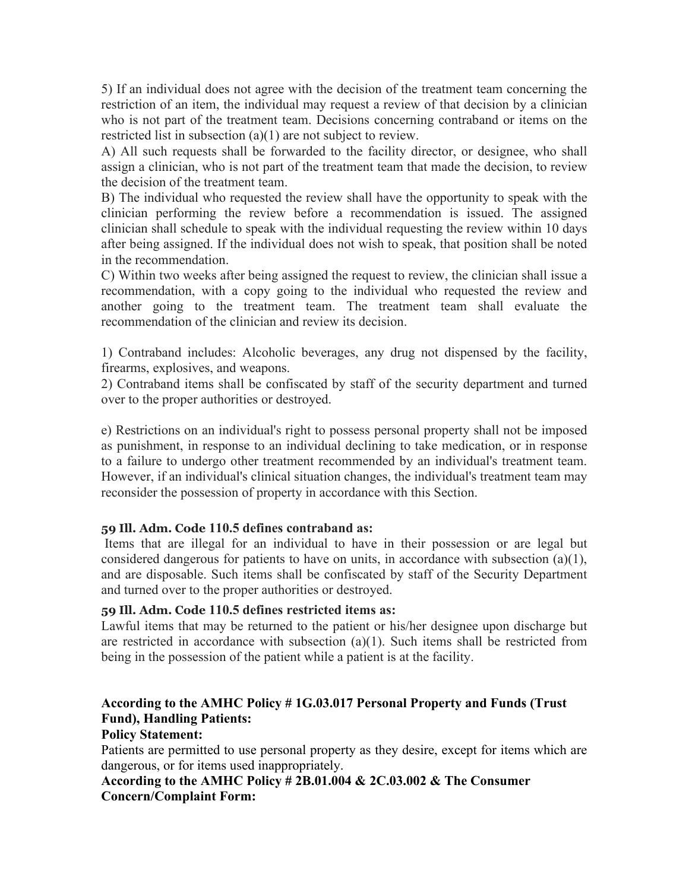5) If an individual does not agree with the decision of the treatment team concerning the restriction of an item, the individual may request a review of that decision by a clinician who is not part of the treatment team. Decisions concerning contraband or items on the restricted list in subsection (a)(1) are not subject to review.

A) All such requests shall be forwarded to the facility director, or designee, who shall assign a clinician, who is not part of the treatment team that made the decision, to review the decision of the treatment team.

B) The individual who requested the review shall have the opportunity to speak with the clinician performing the review before a recommendation is issued. The assigned clinician shall schedule to speak with the individual requesting the review within 10 days after being assigned. If the individual does not wish to speak, that position shall be noted in the recommendation.

C) Within two weeks after being assigned the request to review, the clinician shall issue a recommendation, with a copy going to the individual who requested the review and another going to the treatment team. The treatment team shall evaluate the recommendation of the clinician and review its decision.

1) Contraband includes: Alcoholic beverages, any drug not dispensed by the facility, firearms, explosives, and weapons.

2) Contraband items shall be confiscated by staff of the security department and turned over to the proper authorities or destroyed.

e) Restrictions on an individual's right to possess personal property shall not be imposed as punishment, in response to an individual declining to take medication, or in response to a failure to undergo other treatment recommended by an individual's treatment team. However, if an individual's clinical situation changes, the individual's treatment team may reconsider the possession of property in accordance with this Section.

## **59 Ill. Adm. Code 110.5 defines contraband as:**

Items that are illegal for an individual to have in their possession or are legal but considered dangerous for patients to have on units, in accordance with subsection (a)(1), and are disposable. Such items shall be confiscated by staff of the Security Department and turned over to the proper authorities or destroyed.

#### **59 Ill. Adm. Code 110.5 defines restricted items as:**

Lawful items that may be returned to the patient or his/her designee upon discharge but are restricted in accordance with subsection  $(a)(1)$ . Such items shall be restricted from being in the possession of the patient while a patient is at the facility.

# **According to the AMHC Policy # 1G.03.017 Personal Property and Funds (Trust Fund), Handling Patients:**

## **Policy Statement:**

Patients are permitted to use personal property as they desire, except for items which are dangerous, or for items used inappropriately.

#### **According to the AMHC Policy # 2B.01.004 & 2C.03.002 & The Consumer Concern/Complaint Form:**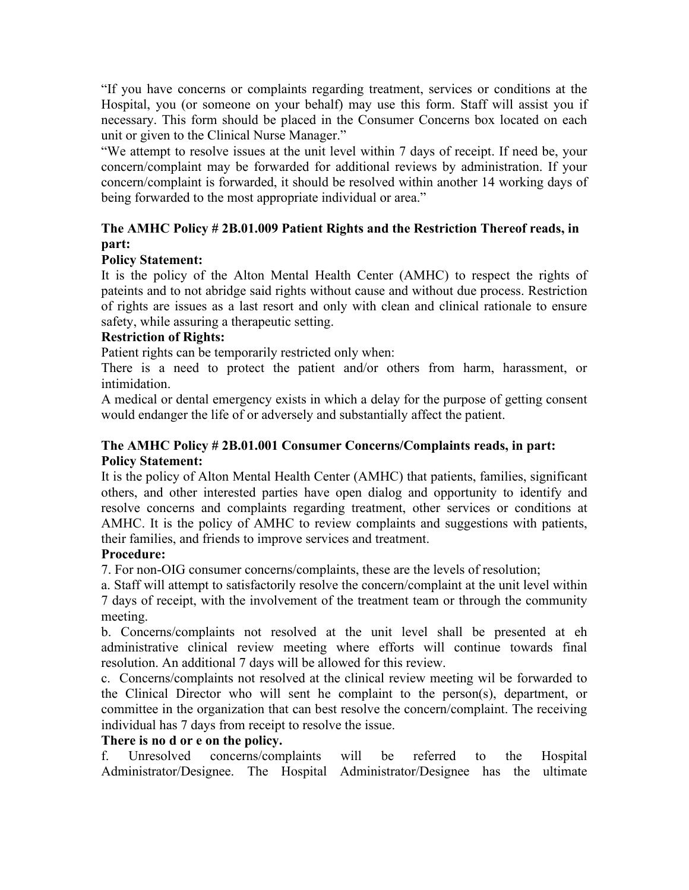"If you have concerns or complaints regarding treatment, services or conditions at the Hospital, you (or someone on your behalf) may use this form. Staff will assist you if necessary. This form should be placed in the Consumer Concerns box located on each unit or given to the Clinical Nurse Manager."

"We attempt to resolve issues at the unit level within 7 days of receipt. If need be, your concern/complaint may be forwarded for additional reviews by administration. If your concern/complaint is forwarded, it should be resolved within another 14 working days of being forwarded to the most appropriate individual or area."

# **The AMHC Policy # 2B.01.009 Patient Rights and the Restriction Thereof reads, in part:**

## **Policy Statement:**

It is the policy of the Alton Mental Health Center (AMHC) to respect the rights of pateints and to not abridge said rights without cause and without due process. Restriction of rights are issues as a last resort and only with clean and clinical rationale to ensure safety, while assuring a therapeutic setting.

## **Restriction of Rights:**

Patient rights can be temporarily restricted only when:

There is a need to protect the patient and/or others from harm, harassment, or intimidation.

A medical or dental emergency exists in which a delay for the purpose of getting consent would endanger the life of or adversely and substantially affect the patient.

## **The AMHC Policy # 2B.01.001 Consumer Concerns/Complaints reads, in part: Policy Statement:**

It is the policy of Alton Mental Health Center (AMHC) that patients, families, significant others, and other interested parties have open dialog and opportunity to identify and resolve concerns and complaints regarding treatment, other services or conditions at AMHC. It is the policy of AMHC to review complaints and suggestions with patients, their families, and friends to improve services and treatment.

## **Procedure:**

7. For non-OIG consumer concerns/complaints, these are the levels of resolution;

a. Staff will attempt to satisfactorily resolve the concern/complaint at the unit level within 7 days of receipt, with the involvement of the treatment team or through the community meeting.

b. Concerns/complaints not resolved at the unit level shall be presented at eh administrative clinical review meeting where efforts will continue towards final resolution. An additional 7 days will be allowed for this review.

c. Concerns/complaints not resolved at the clinical review meeting wil be forwarded to the Clinical Director who will sent he complaint to the person(s), department, or committee in the organization that can best resolve the concern/complaint. The receiving individual has 7 days from receipt to resolve the issue.

## **There is no d or e on the policy.**

f. Unresolved concerns/complaints will be referred to the Hospital Administrator/Designee. The Hospital Administrator/Designee has the ultimate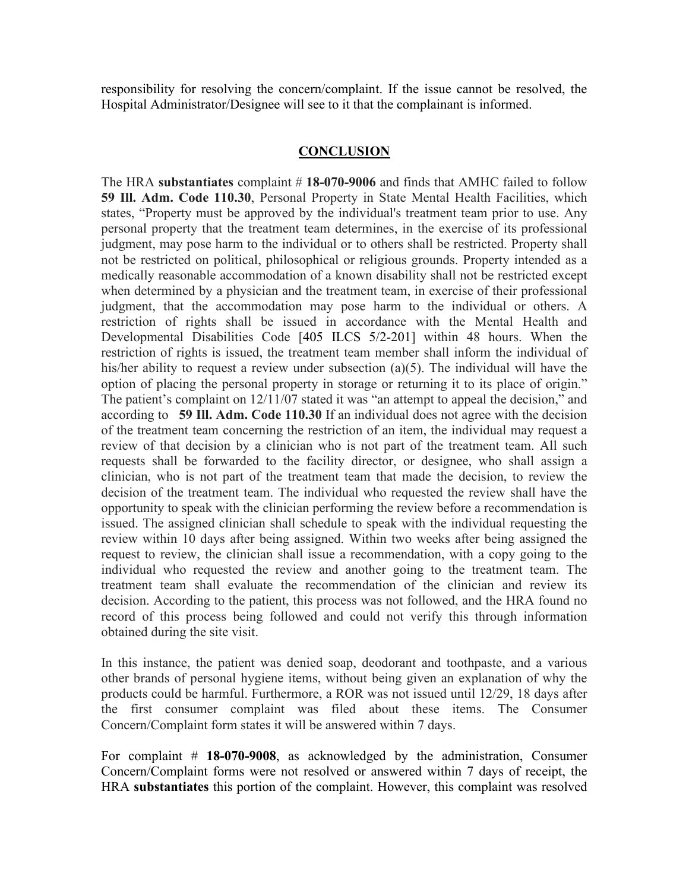responsibility for resolving the concern/complaint. If the issue cannot be resolved, the Hospital Administrator/Designee will see to it that the complainant is informed.

#### **CONCLUSION**

The HRA **substantiates** complaint # **18-070-9006** and finds that AMHC failed to follow **59 Ill. Adm. Code 110.30**, Personal Property in State Mental Health Facilities, which states, "Property must be approved by the individual's treatment team prior to use. Any personal property that the treatment team determines, in the exercise of its professional judgment, may pose harm to the individual or to others shall be restricted. Property shall not be restricted on political, philosophical or religious grounds. Property intended as a medically reasonable accommodation of a known disability shall not be restricted except when determined by a physician and the treatment team, in exercise of their professional judgment, that the accommodation may pose harm to the individual or others. A restriction of rights shall be issued in accordance with the Mental Health and Developmental Disabilities Code [\[405 ILCS 5/2-201\]](https://1.next.westlaw.com/Link/Document/FullText?findType=L&pubNum=1000008&cite=ILSTCH405S5%2f2-201&originatingDoc=I9B07A570EFCC11DE9C2898ACB6E5A633&refType=LQ&originationContext=document&transitionType=DocumentItem&contextData=(sc.Category)) within 48 hours. When the restriction of rights is issued, the treatment team member shall inform the individual of his/her ability to request a review under subsection (a)(5). The individual will have the option of placing the personal property in storage or returning it to its place of origin." The patient's complaint on  $12/11/07$  stated it was "an attempt to appeal the decision," and according to **59 Ill. Adm. Code 110.30** If an individual does not agree with the decision of the treatment team concerning the restriction of an item, the individual may request a review of that decision by a clinician who is not part of the treatment team. All such requests shall be forwarded to the facility director, or designee, who shall assign a clinician, who is not part of the treatment team that made the decision, to review the decision of the treatment team. The individual who requested the review shall have the opportunity to speak with the clinician performing the review before a recommendation is issued. The assigned clinician shall schedule to speak with the individual requesting the review within 10 days after being assigned. Within two weeks after being assigned the request to review, the clinician shall issue a recommendation, with a copy going to the individual who requested the review and another going to the treatment team. The treatment team shall evaluate the recommendation of the clinician and review its decision. According to the patient, this process was not followed, and the HRA found no record of this process being followed and could not verify this through information obtained during the site visit.

In this instance, the patient was denied soap, deodorant and toothpaste, and a various other brands of personal hygiene items, without being given an explanation of why the products could be harmful. Furthermore, a ROR was not issued until 12/29, 18 days after the first consumer complaint was filed about these items. The Consumer Concern/Complaint form states it will be answered within 7 days.

For complaint # **18-070-9008**, as acknowledged by the administration, Consumer Concern/Complaint forms were not resolved or answered within 7 days of receipt, the HRA **substantiates** this portion of the complaint. However, this complaint was resolved